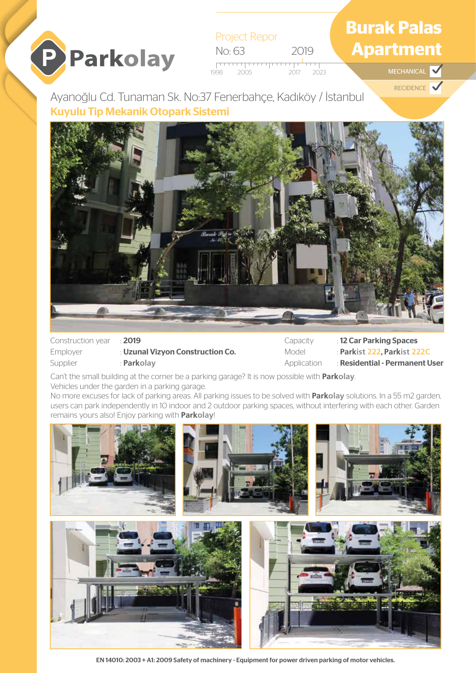# **P** Parkolay

Project Repor No: 63 2019  $\overline{1}$ 1998 2005 2017 2023 **MECHANICAL** 

# **Burak Palas Apartment**

RECIDENCE V

Ayanoğlu Cd. Tunaman Sk. No:37 Fenerbahçe, Kadıköy / İstanbul Kuyulu Tip Mekanik Otopark Sistemi



Construction year : 2019

Employer : Uzunal Vizyon Construction Co. Supplier : **Parkolay** 

Capacity : 12 Car Parking Spaces Model : **Parkist 222**, **Parkist 222C** Application : Residential - Permanent User

Can't the small building at the corner be a parking garage? It is now possible with **Parkolay**. Vehicles under the garden in a parking garage.

No more excuses for lack of parking areas. All parking issues to be solved with **Parkolay** solutions. In a 55 m2 garden, users can park independently in 10 indoor and 2 outdoor parking spaces, without interfering with each other. Garden remains yours also! Enjoy parking with **Parkolay**!



EN 14010: 2003 + A1: 2009 Safety of machinery - Equipment for power driven parking of motor vehicles.